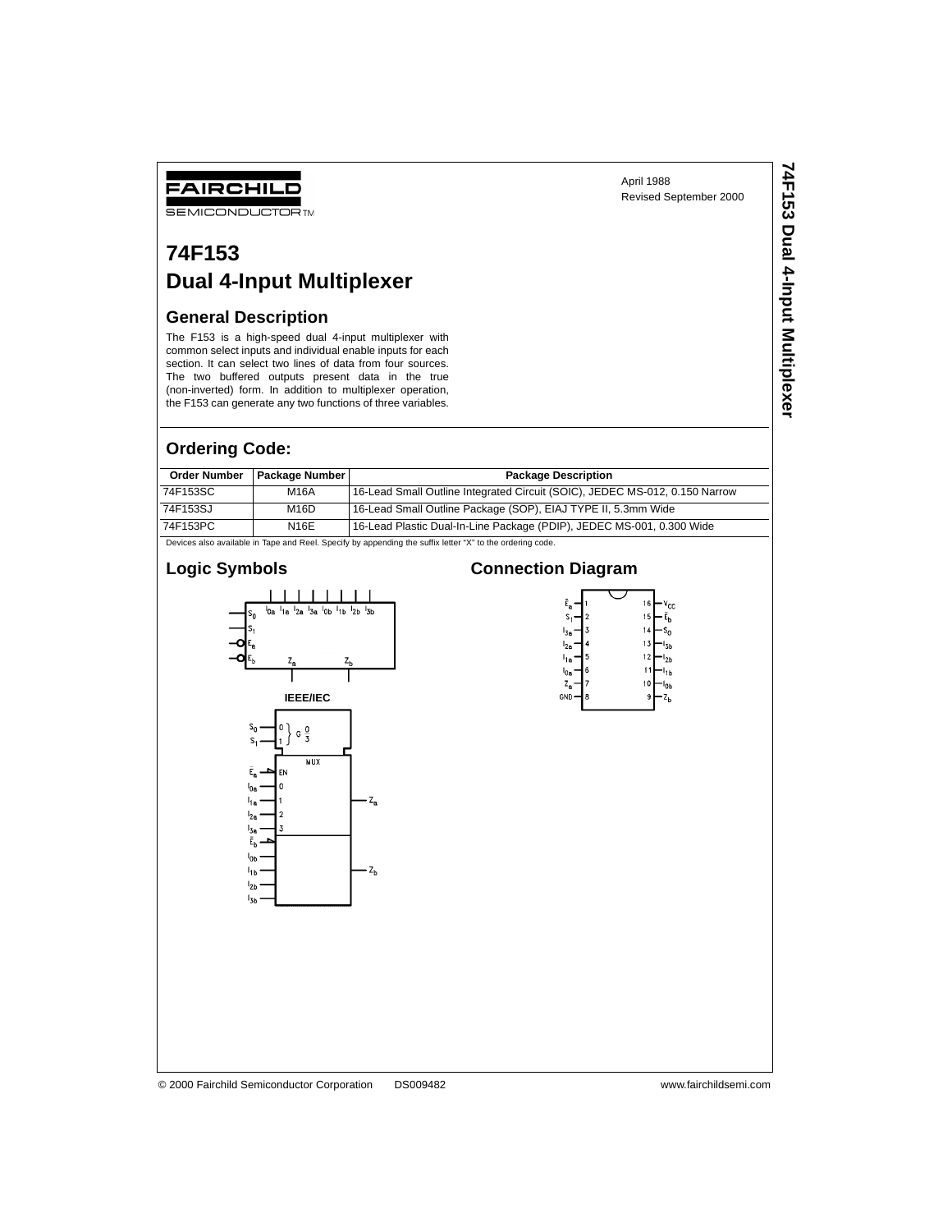April 1988 Revised September 2000 **74F153 Dual 4-Input Multiplexer**

74F153 Dual 4-Input Multiplexer

# **SEMICONDUCTOR TM**

FAIRCHILD

# **74F153 Dual 4-Input Multiplexer**

#### **General Description**

The F153 is a high-speed dual 4-input multiplexer with common select inputs and individual enable inputs for each section. It can select two lines of data from four sources. The two buffered outputs present data in the true (non-inverted) form. In addition to multiplexer operation, the F153 can generate any two functions of three variables.

#### **Ordering Code:**

| <b>Order Number</b>                                                                                      | <b>Package Number</b> | <b>Package Description</b>                                                  |  |  |  |  |  |
|----------------------------------------------------------------------------------------------------------|-----------------------|-----------------------------------------------------------------------------|--|--|--|--|--|
| 74F153SC                                                                                                 | M16A                  | 16-Lead Small Outline Integrated Circuit (SOIC), JEDEC MS-012, 0.150 Narrow |  |  |  |  |  |
| 74F153SJ                                                                                                 | M16D                  | 16-Lead Small Outline Package (SOP), EIAJ TYPE II, 5.3mm Wide               |  |  |  |  |  |
| 74F153PC                                                                                                 | <b>N16E</b>           | 16-Lead Plastic Dual-In-Line Package (PDIP), JEDEC MS-001, 0.300 Wide       |  |  |  |  |  |
| Dovison also available in Tano and Real Specific by annonding the suffix letter "Y" to the ordering eads |                       |                                                                             |  |  |  |  |  |

also available in Tape and Reel. Specify by appending the suffix letter "X" to the ordering code.

# **Logic Symbols**



### **Connection Diagram**

| Ē,              |   | 16 | ∕cc            |
|-----------------|---|----|----------------|
| s               | 2 | 15 | E <sub>h</sub> |
| l <sub>3a</sub> | 3 | 14 |                |
| $^{\prime}$ 2a  | ı | 13 | 3h             |
| l <sub>1a</sub> | 5 | 12 | 2 <sub>b</sub> |
| $1_{0a}$        | 6 |    |                |
| z,              |   | 10 | āЬ             |
| <b>GND</b>      | 8 | 9  | 4ь             |
|                 |   |    |                |

#### © 2000 Fairchild Semiconductor Corporation DS009482 www.fairchildsemi.com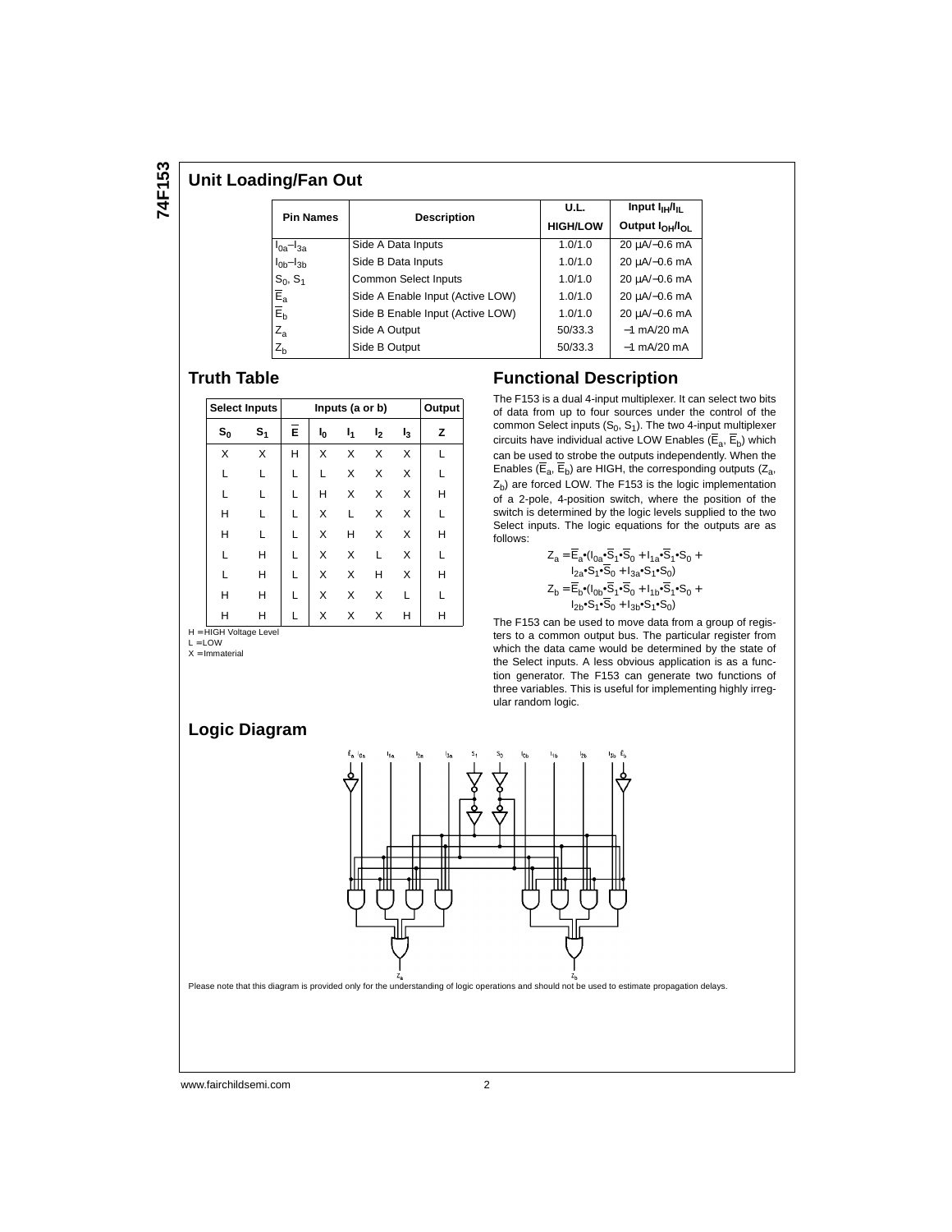#### **Unit Loading/Fan Out**

| <b>Pin Names</b>                     |                                  | U.L.            | Input I <sub>IH</sub> /I <sub>II</sub>  |  |
|--------------------------------------|----------------------------------|-----------------|-----------------------------------------|--|
|                                      | <b>Description</b>               | <b>HIGH/LOW</b> | Output I <sub>OH</sub> /I <sub>OL</sub> |  |
| $I_{0a}$ - $I_{3a}$                  | Side A Data Inputs               | 1.0/1.0         | 20 uA/-0.6 mA                           |  |
| $I0b-I3b$                            | Side B Data Inputs               | 1.0/1.0         | 20 µA/-0.6 mA                           |  |
| $S_0, S_1$                           | Common Select Inputs             | 1.0/1.0         | 20 µA/-0.6 mA                           |  |
| $\overline{\mathsf{E}}_{\mathsf{a}}$ | Side A Enable Input (Active LOW) | 1.0/1.0         | 20 µA/-0.6 mA                           |  |
| $\bar{E}_{b}$                        | Side B Enable Input (Active LOW) | 1.0/1.0         | 20 µA/-0.6 mA                           |  |
| $Z_{a}$                              | Side A Output                    | 50/33.3         | $-1$ mA/20 mA                           |  |
| $Z_{h}$                              | Side B Output                    | 50/33.3         | $-1$ mA/20 mA                           |  |

## **Truth Table**

|                         | <b>Select Inputs</b> |   | Output         |    |                |       |   |
|-------------------------|----------------------|---|----------------|----|----------------|-------|---|
| $S_0$<br>S <sub>1</sub> |                      | Ē | ı <sub>0</sub> | 1, | I <sub>2</sub> | $I_3$ | z |
| X                       | X                    | H | X              | X  | X              | X     |   |
| L                       | L                    | L | L              | X  | X              | X     |   |
| L                       | L                    | L | Н              | X  | X              | X     | н |
| н                       | L                    | L | X              | L  | X              | X     |   |
| н                       |                      | L | X              | н  | X              | X     | н |
| L                       | H                    | L | X              | X  | L              | X     |   |
|                         | H                    |   | X              | X  | н              | X     | н |
| н                       | н                    | L | X              | X  | X              |       |   |
| н                       | н                    | L | X              | X  | X              | н     | н |

H = HIGH Voltage Level<br>L = LOW

 $X =$  Immaterial

#### **Functional Description**

The F153 is a dual 4-input multiplexer. It can select two bits of data from up to four sources under the control of the common Select inputs  $(S_0, S_1)$ . The two 4-input multiplexer circuits have individual active LOW Enables  $(\overline{E}_a, \overline{E}_b)$  which can be used to strobe the outputs independently. When the Enables ( $\overline{E}_a$ ,  $\overline{E}_b$ ) are HIGH, the corresponding outputs ( $Z_a$ ,  $Z<sub>b</sub>$ ) are forced LOW. The F153 is the logic implementation of a 2-pole, 4-position switch, where the position of the switch is determined by the logic levels supplied to the two Select inputs. The logic equations for the outputs are as follows:

$$
\begin{aligned} Z_a=&\,\overline{\mathsf{E}}_a{}^\bullet(\mathsf{I}_{0a}{}^\bullet\!\overline{\mathsf{S}}_1{}^\bullet\!\overline{\mathsf{S}}_0+\mathsf{I}_{1a}{}^\bullet\!\overline{\mathsf{S}}_1{}^\bullet\!\mathsf{S}_0+\\ &\mathsf{I}_{2a}{}^\bullet\!\mathsf{S}_1{}^\bullet\!\overline{\mathsf{S}}_0+\mathsf{I}_{3a}{}^\bullet\!\mathsf{S}_1{}^\bullet\!\overline{\mathsf{S}}_0)\\ Z_b=&\,\overline{\mathsf{E}}_b{}^\bullet(\mathsf{I}_{0b}{}^\bullet\!\overline{\mathsf{S}}_1{}^\bullet\!\overline{\mathsf{S}}_0+\mathsf{I}_{1b}{}^\bullet\!\overline{\mathsf{S}}_1{}^\bullet\!\mathsf{S}_0+\\ &\mathsf{I}_{2b}{}^\bullet\!\mathsf{S}_1{}^\bullet\!\overline{\mathsf{S}}_0+\mathsf{I}_{3b}{}^\bullet\!\mathsf{S}_1{}^\bullet\!\mathsf{S}_0)\end{aligned}
$$

The F153 can be used to move data from a group of registers to a common output bus. The particular register from which the data came would be determined by the state of the Select inputs. A less obvious application is as a function generator. The F153 can generate two functions of three variables. This is useful for implementing highly irregular random logic.





Please note that this diagram is provided only for the understanding of logic operations and should not be used to estimate propagation delays.